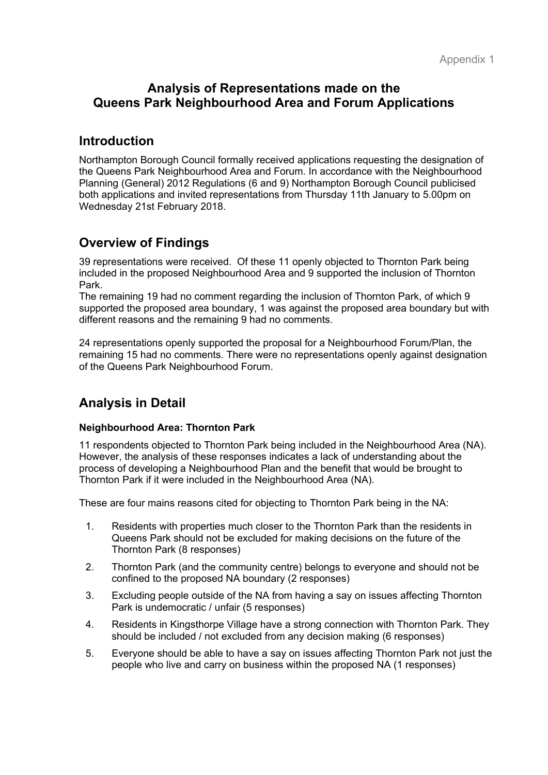## **Analysis of Representations made on the Queens Park Neighbourhood Area and Forum Applications**

## **Introduction**

Northampton Borough Council formally received applications requesting the designation of the Queens Park Neighbourhood Area and Forum. In accordance with the Neighbourhood Planning (General) 2012 Regulations (6 and 9) Northampton Borough Council publicised both applications and invited representations from Thursday 11th January to 5.00pm on Wednesday 21st February 2018.

# **Overview of Findings**

39 representations were received. Of these 11 openly objected to Thornton Park being included in the proposed Neighbourhood Area and 9 supported the inclusion of Thornton Park.

The remaining 19 had no comment regarding the inclusion of Thornton Park, of which 9 supported the proposed area boundary, 1 was against the proposed area boundary but with different reasons and the remaining 9 had no comments.

24 representations openly supported the proposal for a Neighbourhood Forum/Plan, the remaining 15 had no comments. There were no representations openly against designation of the Queens Park Neighbourhood Forum.

## **Analysis in Detail**

### **Neighbourhood Area: Thornton Park**

11 respondents objected to Thornton Park being included in the Neighbourhood Area (NA). However, the analysis of these responses indicates a lack of understanding about the process of developing a Neighbourhood Plan and the benefit that would be brought to Thornton Park if it were included in the Neighbourhood Area (NA).

These are four mains reasons cited for objecting to Thornton Park being in the NA:

- 1. Residents with properties much closer to the Thornton Park than the residents in Queens Park should not be excluded for making decisions on the future of the Thornton Park (8 responses)
- 2. Thornton Park (and the community centre) belongs to everyone and should not be confined to the proposed NA boundary (2 responses)
- 3. Excluding people outside of the NA from having a say on issues affecting Thornton Park is undemocratic / unfair (5 responses)
- 4. Residents in Kingsthorpe Village have a strong connection with Thornton Park. They should be included / not excluded from any decision making (6 responses)
- 5. Everyone should be able to have a say on issues affecting Thornton Park not just the people who live and carry on business within the proposed NA (1 responses)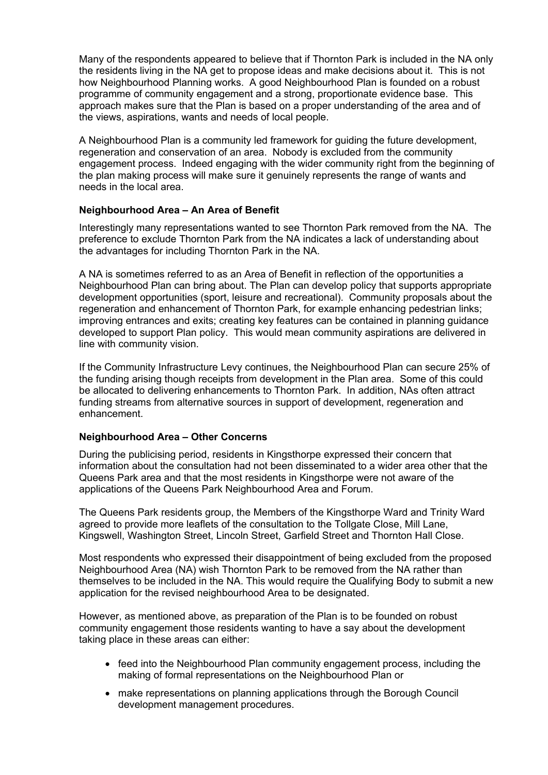Many of the respondents appeared to believe that if Thornton Park is included in the NA only the residents living in the NA get to propose ideas and make decisions about it. This is not how Neighbourhood Planning works. A good Neighbourhood Plan is founded on a robust programme of community engagement and a strong, proportionate evidence base. This approach makes sure that the Plan is based on a proper understanding of the area and of the views, aspirations, wants and needs of local people.

A Neighbourhood Plan is a community led framework for guiding the future development, regeneration and conservation of an area. Nobody is excluded from the community engagement process. Indeed engaging with the wider community right from the beginning of the plan making process will make sure it genuinely represents the range of wants and needs in the local area.

### **Neighbourhood Area – An Area of Benefit**

Interestingly many representations wanted to see Thornton Park removed from the NA. The preference to exclude Thornton Park from the NA indicates a lack of understanding about the advantages for including Thornton Park in the NA.

A NA is sometimes referred to as an Area of Benefit in reflection of the opportunities a Neighbourhood Plan can bring about. The Plan can develop policy that supports appropriate development opportunities (sport, leisure and recreational). Community proposals about the regeneration and enhancement of Thornton Park, for example enhancing pedestrian links; improving entrances and exits; creating key features can be contained in planning guidance developed to support Plan policy. This would mean community aspirations are delivered in line with community vision.

If the Community Infrastructure Levy continues, the Neighbourhood Plan can secure 25% of the funding arising though receipts from development in the Plan area. Some of this could be allocated to delivering enhancements to Thornton Park. In addition, NAs often attract funding streams from alternative sources in support of development, regeneration and enhancement.

### **Neighbourhood Area – Other Concerns**

During the publicising period, residents in Kingsthorpe expressed their concern that information about the consultation had not been disseminated to a wider area other that the Queens Park area and that the most residents in Kingsthorpe were not aware of the applications of the Queens Park Neighbourhood Area and Forum.

The Queens Park residents group, the Members of the Kingsthorpe Ward and Trinity Ward agreed to provide more leaflets of the consultation to the Tollgate Close, Mill Lane, Kingswell, Washington Street, Lincoln Street, Garfield Street and Thornton Hall Close.

Most respondents who expressed their disappointment of being excluded from the proposed Neighbourhood Area (NA) wish Thornton Park to be removed from the NA rather than themselves to be included in the NA. This would require the Qualifying Body to submit a new application for the revised neighbourhood Area to be designated.

However, as mentioned above, as preparation of the Plan is to be founded on robust community engagement those residents wanting to have a say about the development taking place in these areas can either:

- feed into the Neighbourhood Plan community engagement process, including the making of formal representations on the Neighbourhood Plan or
- make representations on planning applications through the Borough Council development management procedures.